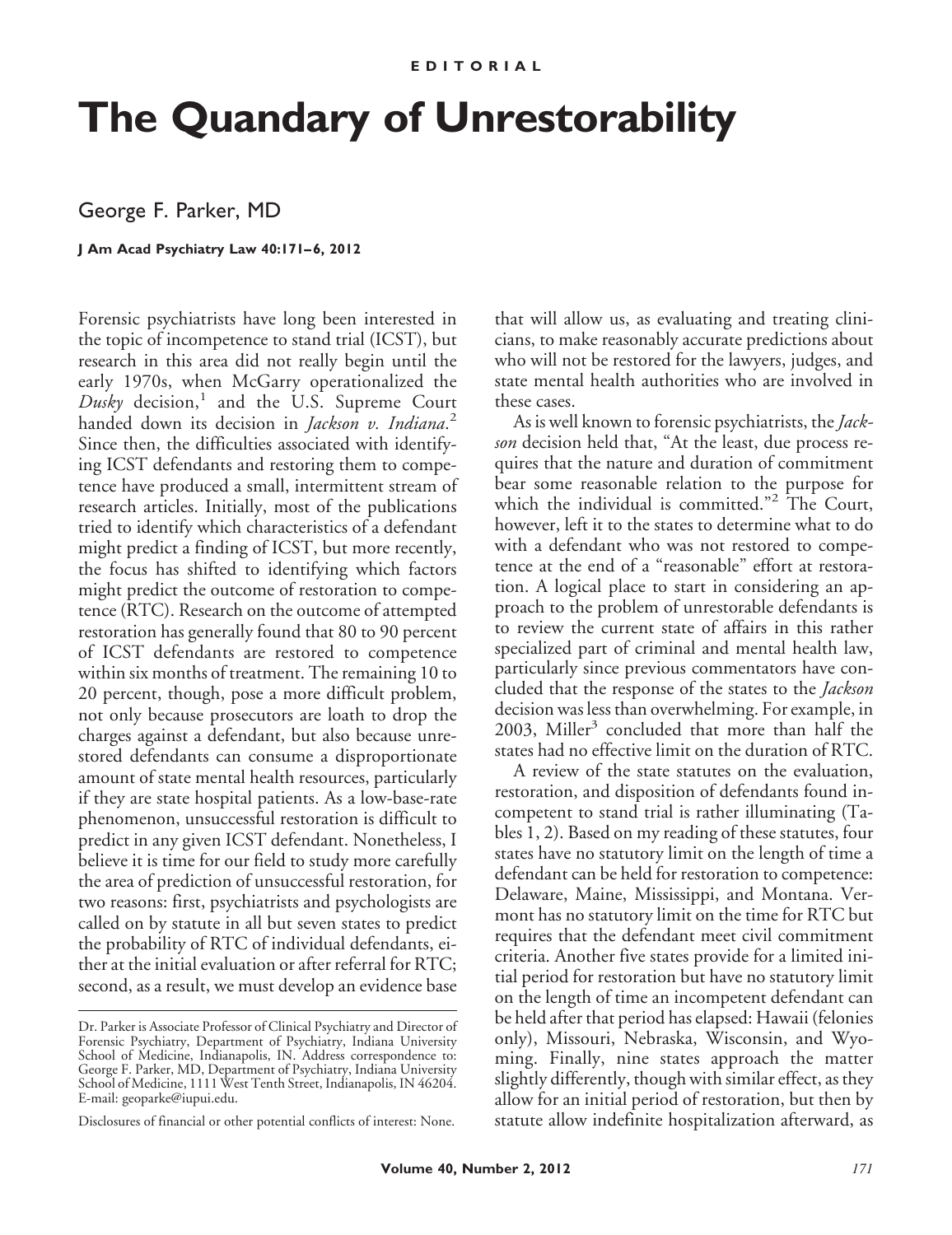# **The Quandary of Unrestorability**

George F. Parker, MD

### **J Am Acad Psychiatry Law 40:171– 6, 2012**

Forensic psychiatrists have long been interested in the topic of incompetence to stand trial (ICST), but research in this area did not really begin until the early 1970s, when McGarry operationalized the *Dusky* decision,<sup>1</sup> and the U.S. Supreme Court handed down its decision in *Jackson v. Indiana*. 2 Since then, the difficulties associated with identifying ICST defendants and restoring them to competence have produced a small, intermittent stream of research articles. Initially, most of the publications tried to identify which characteristics of a defendant might predict a finding of ICST, but more recently, the focus has shifted to identifying which factors might predict the outcome of restoration to competence (RTC). Research on the outcome of attempted restoration has generally found that 80 to 90 percent of ICST defendants are restored to competence within six months of treatment. The remaining 10 to 20 percent, though, pose a more difficult problem, not only because prosecutors are loath to drop the charges against a defendant, but also because unrestored defendants can consume a disproportionate amount of state mental health resources, particularly if they are state hospital patients. As a low-base-rate phenomenon, unsuccessful restoration is difficult to predict in any given ICST defendant. Nonetheless, I believe it is time for our field to study more carefully the area of prediction of unsuccessful restoration, for two reasons: first, psychiatrists and psychologists are called on by statute in all but seven states to predict the probability of RTC of individual defendants, either at the initial evaluation or after referral for RTC; second, as a result, we must develop an evidence base

that will allow us, as evaluating and treating clinicians, to make reasonably accurate predictions about who will not be restored for the lawyers, judges, and state mental health authorities who are involved in these cases.

As is well known to forensic psychiatrists, the*Jackson* decision held that, "At the least, due process requires that the nature and duration of commitment bear some reasonable relation to the purpose for which the individual is committed."<sup>2</sup> The Court, however, left it to the states to determine what to do with a defendant who was not restored to competence at the end of a "reasonable" effort at restoration. A logical place to start in considering an approach to the problem of unrestorable defendants is to review the current state of affairs in this rather specialized part of criminal and mental health law, particularly since previous commentators have concluded that the response of the states to the *Jackson* decision was less than overwhelming. For example, in 2003, Miller<sup>3</sup> concluded that more than half the states had no effective limit on the duration of RTC.

A review of the state statutes on the evaluation, restoration, and disposition of defendants found incompetent to stand trial is rather illuminating (Tables 1, 2). Based on my reading of these statutes, four states have no statutory limit on the length of time a defendant can be held for restoration to competence: Delaware, Maine, Mississippi, and Montana. Vermont has no statutory limit on the time for RTC but requires that the defendant meet civil commitment criteria. Another five states provide for a limited initial period for restoration but have no statutory limit on the length of time an incompetent defendant can be held after that period has elapsed: Hawaii (felonies only), Missouri, Nebraska, Wisconsin, and Wyoming. Finally, nine states approach the matter slightly differently, though with similar effect, as they allow for an initial period of restoration, but then by statute allow indefinite hospitalization afterward, as

Dr. Parker is Associate Professor of Clinical Psychiatry and Director of Forensic Psychiatry, Department of Psychiatry, Indiana University School of Medicine, Indianapolis, IN. Address correspondence to: George F. Parker, MD, Department of Psychiatry, Indiana University School of Medicine, 1111 West Tenth Street, Indianapolis, IN 46204. E-mail: geoparke@iupui.edu.

Disclosures of financial or other potential conflicts of interest: None.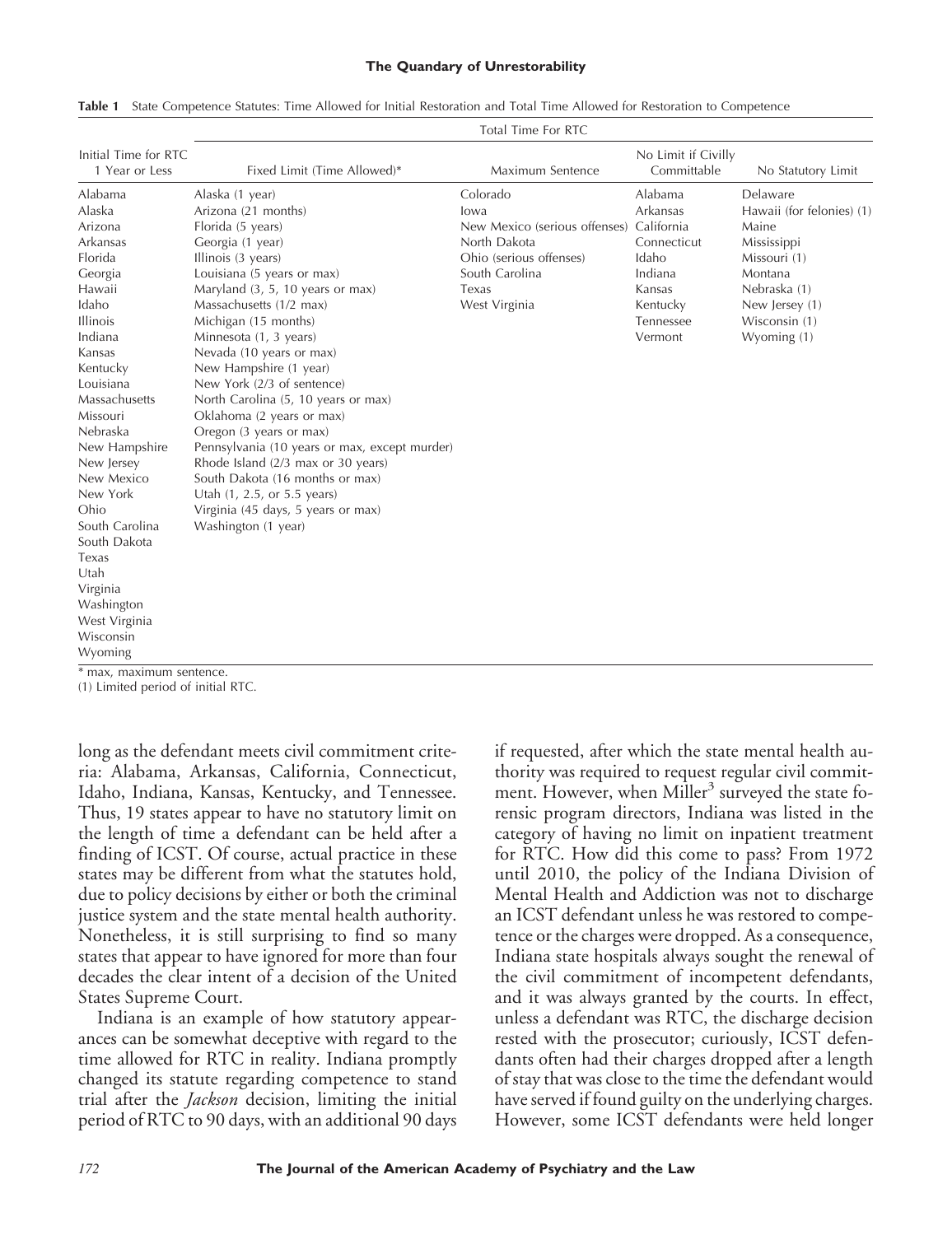### **The Quandary of Unrestorability**

|                                        | Total Time For RTC                            |                               |                                    |                           |  |
|----------------------------------------|-----------------------------------------------|-------------------------------|------------------------------------|---------------------------|--|
| Initial Time for RTC<br>1 Year or Less | Fixed Limit (Time Allowed)*                   | Maximum Sentence              | No Limit if Civilly<br>Committable | No Statutory Limit        |  |
| Alabama                                | Alaska (1 year)                               | Colorado                      | Alabama                            | Delaware                  |  |
| Alaska                                 | Arizona (21 months)                           | lowa                          | Arkansas                           | Hawaii (for felonies) (1) |  |
| Arizona                                | Florida (5 years)                             | New Mexico (serious offenses) | California                         | Maine                     |  |
| Arkansas                               | Georgia (1 year)                              | North Dakota                  | Connecticut                        | Mississippi               |  |
| Florida                                | Illinois (3 years)                            | Ohio (serious offenses)       | Idaho                              | Missouri (1)              |  |
| Georgia                                | Louisiana (5 years or max)                    | South Carolina                | Indiana                            | Montana                   |  |
| Hawaii                                 | Maryland (3, 5, 10 years or max)              | Texas                         | Kansas                             | Nebraska (1)              |  |
| Idaho                                  | Massachusetts (1/2 max)                       | West Virginia                 | Kentucky                           | New Jersey (1)            |  |
| Illinois                               | Michigan (15 months)                          |                               | Tennessee                          | Wisconsin (1)             |  |
| Indiana                                | Minnesota (1, 3 years)                        |                               | Vermont                            | Wyoming (1)               |  |
| Kansas                                 | Nevada (10 years or max)                      |                               |                                    |                           |  |
| Kentucky                               | New Hampshire (1 year)                        |                               |                                    |                           |  |
| Louisiana                              | New York (2/3 of sentence)                    |                               |                                    |                           |  |
| Massachusetts                          | North Carolina (5, 10 years or max)           |                               |                                    |                           |  |
| Missouri                               | Oklahoma (2 years or max)                     |                               |                                    |                           |  |
| Nebraska                               | Oregon (3 years or max)                       |                               |                                    |                           |  |
| New Hampshire                          | Pennsylvania (10 years or max, except murder) |                               |                                    |                           |  |
| New Jersey                             | Rhode Island (2/3 max or 30 years)            |                               |                                    |                           |  |
| New Mexico                             | South Dakota (16 months or max)               |                               |                                    |                           |  |
| New York                               | Utah (1, 2.5, or 5.5 years)                   |                               |                                    |                           |  |
| Ohio                                   | Virginia (45 days, 5 years or max)            |                               |                                    |                           |  |
| South Carolina                         | Washington (1 year)                           |                               |                                    |                           |  |
| South Dakota                           |                                               |                               |                                    |                           |  |
| Texas                                  |                                               |                               |                                    |                           |  |
| Utah                                   |                                               |                               |                                    |                           |  |
| Virginia                               |                                               |                               |                                    |                           |  |
| Washington                             |                                               |                               |                                    |                           |  |
| West Virginia                          |                                               |                               |                                    |                           |  |
| Wisconsin                              |                                               |                               |                                    |                           |  |
| Wyoming                                |                                               |                               |                                    |                           |  |
| * max, maximum sentence.               |                                               |                               |                                    |                           |  |

**Table 1** State Competence Statutes: Time Allowed for Initial Restoration and Total Time Allowed for Restoration to Competence

(1) Limited period of initial RTC.

long as the defendant meets civil commitment criteria: Alabama, Arkansas, California, Connecticut, Idaho, Indiana, Kansas, Kentucky, and Tennessee. Thus, 19 states appear to have no statutory limit on the length of time a defendant can be held after a finding of ICST. Of course, actual practice in these states may be different from what the statutes hold, due to policy decisions by either or both the criminal justice system and the state mental health authority. Nonetheless, it is still surprising to find so many states that appear to have ignored for more than four decades the clear intent of a decision of the United States Supreme Court.

Indiana is an example of how statutory appearances can be somewhat deceptive with regard to the time allowed for RTC in reality. Indiana promptly changed its statute regarding competence to stand trial after the *Jackson* decision, limiting the initial period of RTC to 90 days, with an additional 90 days

if requested, after which the state mental health authority was required to request regular civil commitment. However, when Miller<sup>3</sup> surveyed the state forensic program directors, Indiana was listed in the category of having no limit on inpatient treatment for RTC. How did this come to pass? From 1972 until 2010, the policy of the Indiana Division of Mental Health and Addiction was not to discharge an ICST defendant unless he was restored to competence or the charges were dropped. As a consequence, Indiana state hospitals always sought the renewal of the civil commitment of incompetent defendants, and it was always granted by the courts. In effect, unless a defendant was RTC, the discharge decision rested with the prosecutor; curiously, ICST defendants often had their charges dropped after a length of stay that was close to the time the defendant would have served if found guilty on the underlying charges. However, some ICST defendants were held longer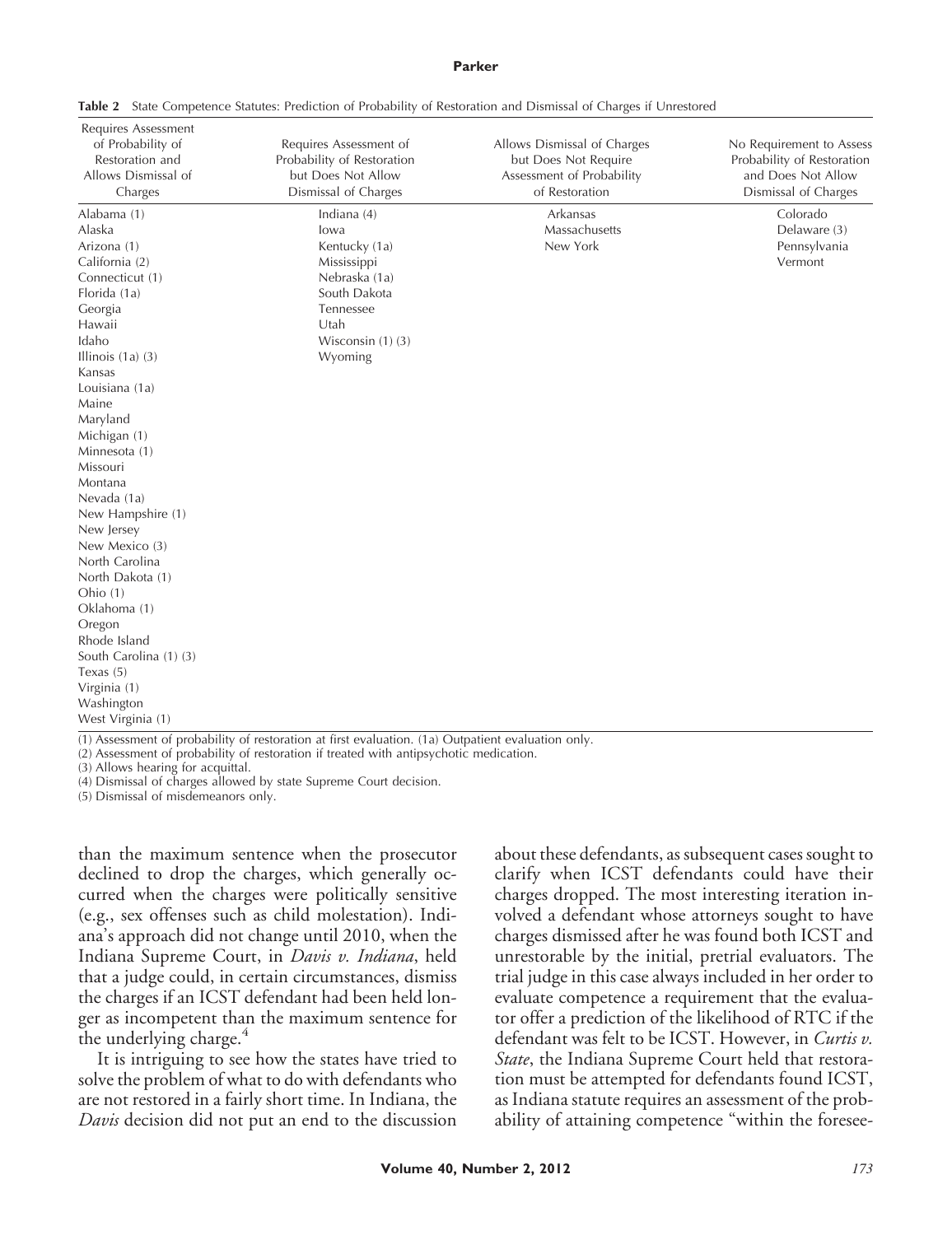#### **Parker**

| Requires Assessment<br>of Probability of<br>Restoration and<br>Allows Dismissal of<br>Charges | Requires Assessment of<br>Probability of Restoration<br>but Does Not Allow<br>Dismissal of Charges | Allows Dismissal of Charges<br>but Does Not Require<br>Assessment of Probability<br>of Restoration | No Requirement to Assess<br>Probability of Restoration<br>and Does Not Allow<br>Dismissal of Charges |
|-----------------------------------------------------------------------------------------------|----------------------------------------------------------------------------------------------------|----------------------------------------------------------------------------------------------------|------------------------------------------------------------------------------------------------------|
| Alabama (1)                                                                                   | Indiana (4)                                                                                        | Arkansas                                                                                           | Colorado                                                                                             |
| Alaska                                                                                        | lowa                                                                                               | Massachusetts                                                                                      | Delaware (3)                                                                                         |
| Arizona (1)                                                                                   | Kentucky (1a)                                                                                      | New York                                                                                           | Pennsylvania                                                                                         |
| California (2)                                                                                | Mississippi                                                                                        |                                                                                                    | Vermont                                                                                              |
| Connecticut (1)                                                                               | Nebraska (1a)                                                                                      |                                                                                                    |                                                                                                      |
| Florida (1a)                                                                                  | South Dakota                                                                                       |                                                                                                    |                                                                                                      |
| Georgia                                                                                       | Tennessee                                                                                          |                                                                                                    |                                                                                                      |
| Hawaii                                                                                        | Utah                                                                                               |                                                                                                    |                                                                                                      |
| Idaho                                                                                         | Wisconsin $(1)$ $(3)$                                                                              |                                                                                                    |                                                                                                      |
| Illinois $(1a)$ $(3)$                                                                         | Wyoming                                                                                            |                                                                                                    |                                                                                                      |
| Kansas                                                                                        |                                                                                                    |                                                                                                    |                                                                                                      |
| Louisiana (1a)                                                                                |                                                                                                    |                                                                                                    |                                                                                                      |
| Maine                                                                                         |                                                                                                    |                                                                                                    |                                                                                                      |
| Maryland                                                                                      |                                                                                                    |                                                                                                    |                                                                                                      |
| Michigan (1)                                                                                  |                                                                                                    |                                                                                                    |                                                                                                      |
| Minnesota (1)                                                                                 |                                                                                                    |                                                                                                    |                                                                                                      |
| Missouri                                                                                      |                                                                                                    |                                                                                                    |                                                                                                      |
| Montana                                                                                       |                                                                                                    |                                                                                                    |                                                                                                      |
| Nevada (1a)                                                                                   |                                                                                                    |                                                                                                    |                                                                                                      |
| New Hampshire (1)                                                                             |                                                                                                    |                                                                                                    |                                                                                                      |
| New Jersey                                                                                    |                                                                                                    |                                                                                                    |                                                                                                      |
| New Mexico (3)                                                                                |                                                                                                    |                                                                                                    |                                                                                                      |
| North Carolina                                                                                |                                                                                                    |                                                                                                    |                                                                                                      |
| North Dakota (1)                                                                              |                                                                                                    |                                                                                                    |                                                                                                      |
| Ohio (1)                                                                                      |                                                                                                    |                                                                                                    |                                                                                                      |
| Oklahoma (1)                                                                                  |                                                                                                    |                                                                                                    |                                                                                                      |
| Oregon                                                                                        |                                                                                                    |                                                                                                    |                                                                                                      |
| Rhode Island                                                                                  |                                                                                                    |                                                                                                    |                                                                                                      |
| South Carolina (1) (3)                                                                        |                                                                                                    |                                                                                                    |                                                                                                      |
| Texas $(5)$                                                                                   |                                                                                                    |                                                                                                    |                                                                                                      |
| Virginia (1)                                                                                  |                                                                                                    |                                                                                                    |                                                                                                      |
| Washington                                                                                    |                                                                                                    |                                                                                                    |                                                                                                      |
| West Virginia (1)                                                                             |                                                                                                    |                                                                                                    |                                                                                                      |
|                                                                                               | (1) According to probability of rectoration at first evaluation (1a) Outpatient evaluation only    |                                                                                                    |                                                                                                      |

**Table 2** State Competence Statutes: Prediction of Probability of Restoration and Dismissal of Charges if Unrestored

ility of restoration at first evaluation. (1a) Outpatient evaluation only.

(2) Assessment of probability of restoration if treated with antipsychotic medication.

(3) Allows hearing for acquittal.

(4) Dismissal of charges allowed by state Supreme Court decision.

(5) Dismissal of misdemeanors only.

than the maximum sentence when the prosecutor declined to drop the charges, which generally occurred when the charges were politically sensitive (e.g., sex offenses such as child molestation). Indiana's approach did not change until 2010, when the Indiana Supreme Court, in *Davis v. Indiana*, held that a judge could, in certain circumstances, dismiss the charges if an ICST defendant had been held longer as incompetent than the maximum sentence for the underlying charge.<sup>4</sup>

It is intriguing to see how the states have tried to solve the problem of what to do with defendants who are not restored in a fairly short time. In Indiana, the *Davis* decision did not put an end to the discussion

about these defendants, as subsequent cases sought to clarify when ICST defendants could have their charges dropped. The most interesting iteration involved a defendant whose attorneys sought to have charges dismissed after he was found both ICST and unrestorable by the initial, pretrial evaluators. The trial judge in this case always included in her order to evaluate competence a requirement that the evaluator offer a prediction of the likelihood of RTC if the defendant was felt to be ICST. However, in *Curtis v. State*, the Indiana Supreme Court held that restoration must be attempted for defendants found ICST, as Indiana statute requires an assessment of the probability of attaining competence "within the foresee-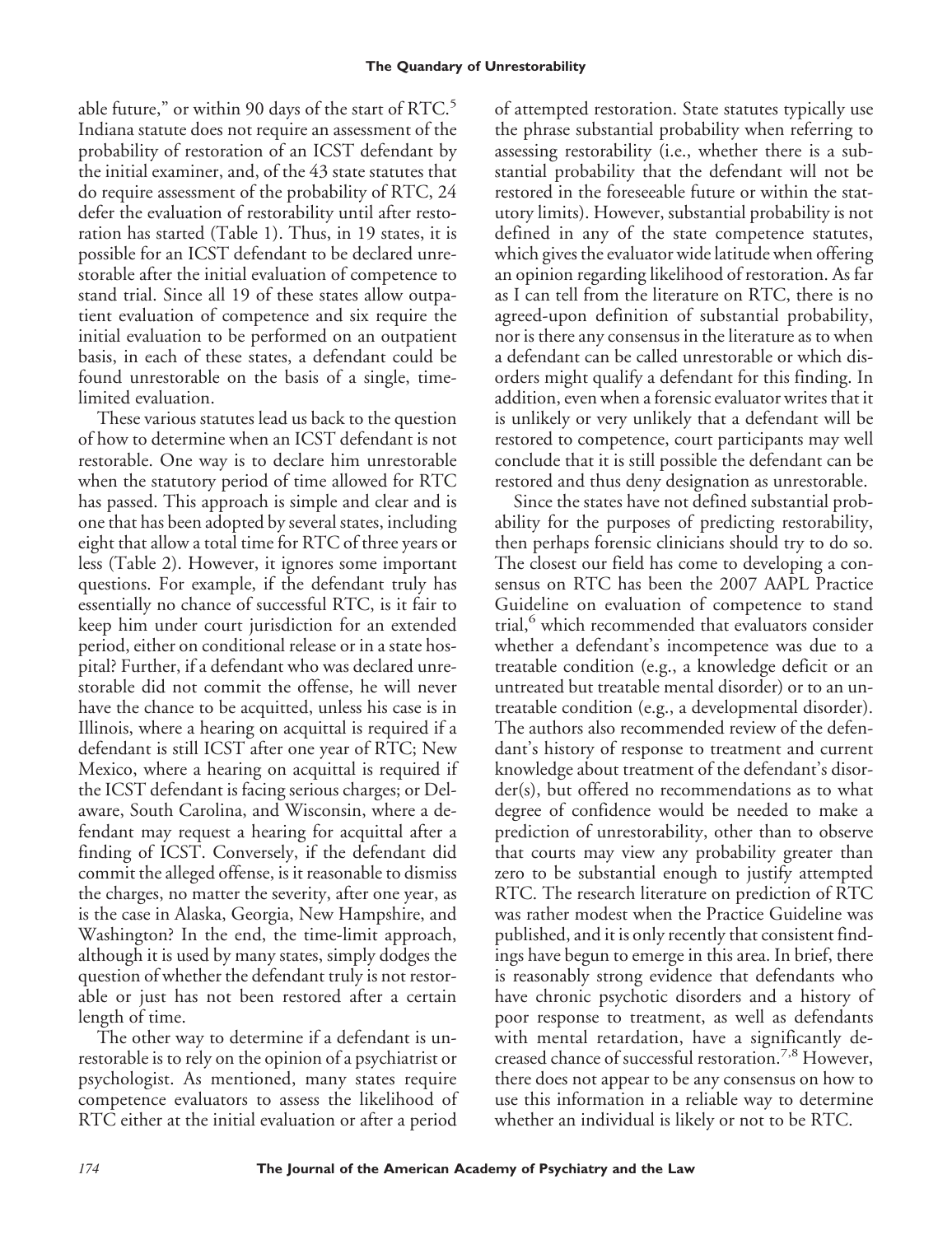able future," or within 90 days of the start of RTC. Indiana statute does not require an assessment of the probability of restoration of an ICST defendant by the initial examiner, and, of the 43 state statutes that do require assessment of the probability of RTC, 24 defer the evaluation of restorability until after restoration has started (Table 1). Thus, in 19 states, it is possible for an ICST defendant to be declared unrestorable after the initial evaluation of competence to stand trial. Since all 19 of these states allow outpatient evaluation of competence and six require the initial evaluation to be performed on an outpatient basis, in each of these states, a defendant could be found unrestorable on the basis of a single, timelimited evaluation.

These various statutes lead us back to the question of how to determine when an ICST defendant is not restorable. One way is to declare him unrestorable when the statutory period of time allowed for RTC has passed. This approach is simple and clear and is one that has been adopted by several states, including eight that allow a total time for RTC of three years or less (Table 2). However, it ignores some important questions. For example, if the defendant truly has essentially no chance of successful RTC, is it fair to keep him under court jurisdiction for an extended period, either on conditional release or in a state hospital? Further, if a defendant who was declared unrestorable did not commit the offense, he will never have the chance to be acquitted, unless his case is in Illinois, where a hearing on acquittal is required if a defendant is still ICST after one year of RTC; New Mexico, where a hearing on acquittal is required if the ICST defendant is facing serious charges; or Delaware, South Carolina, and Wisconsin, where a defendant may request a hearing for acquittal after a finding of ICST. Conversely, if the defendant did commit the alleged offense, is it reasonable to dismiss the charges, no matter the severity, after one year, as is the case in Alaska, Georgia, New Hampshire, and Washington? In the end, the time-limit approach, although it is used by many states, simply dodges the question of whether the defendant truly is not restorable or just has not been restored after a certain length of time.

The other way to determine if a defendant is unrestorable is to rely on the opinion of a psychiatrist or psychologist. As mentioned, many states require competence evaluators to assess the likelihood of RTC either at the initial evaluation or after a period of attempted restoration. State statutes typically use the phrase substantial probability when referring to assessing restorability (i.e., whether there is a substantial probability that the defendant will not be restored in the foreseeable future or within the statutory limits). However, substantial probability is not defined in any of the state competence statutes, which gives the evaluator wide latitude when offering an opinion regarding likelihood of restoration. As far as I can tell from the literature on RTC, there is no agreed-upon definition of substantial probability, nor is there any consensus in the literature as to when a defendant can be called unrestorable or which disorders might qualify a defendant for this finding. In addition, even when a forensic evaluator writes that it is unlikely or very unlikely that a defendant will be restored to competence, court participants may well conclude that it is still possible the defendant can be restored and thus deny designation as unrestorable.

Since the states have not defined substantial probability for the purposes of predicting restorability, then perhaps forensic clinicians should try to do so. The closest our field has come to developing a consensus on RTC has been the 2007 AAPL Practice Guideline on evaluation of competence to stand trial,<sup>6</sup> which recommended that evaluators consider whether a defendant's incompetence was due to a treatable condition (e.g., a knowledge deficit or an untreated but treatable mental disorder) or to an untreatable condition (e.g., a developmental disorder). The authors also recommended review of the defendant's history of response to treatment and current knowledge about treatment of the defendant's disorder(s), but offered no recommendations as to what degree of confidence would be needed to make a prediction of unrestorability, other than to observe that courts may view any probability greater than zero to be substantial enough to justify attempted RTC. The research literature on prediction of RTC was rather modest when the Practice Guideline was published, and it is only recently that consistent findings have begun to emerge in this area. In brief, there is reasonably strong evidence that defendants who have chronic psychotic disorders and a history of poor response to treatment, as well as defendants with mental retardation, have a significantly decreased chance of successful restoration.7,8 However, there does not appear to be any consensus on how to use this information in a reliable way to determine whether an individual is likely or not to be RTC.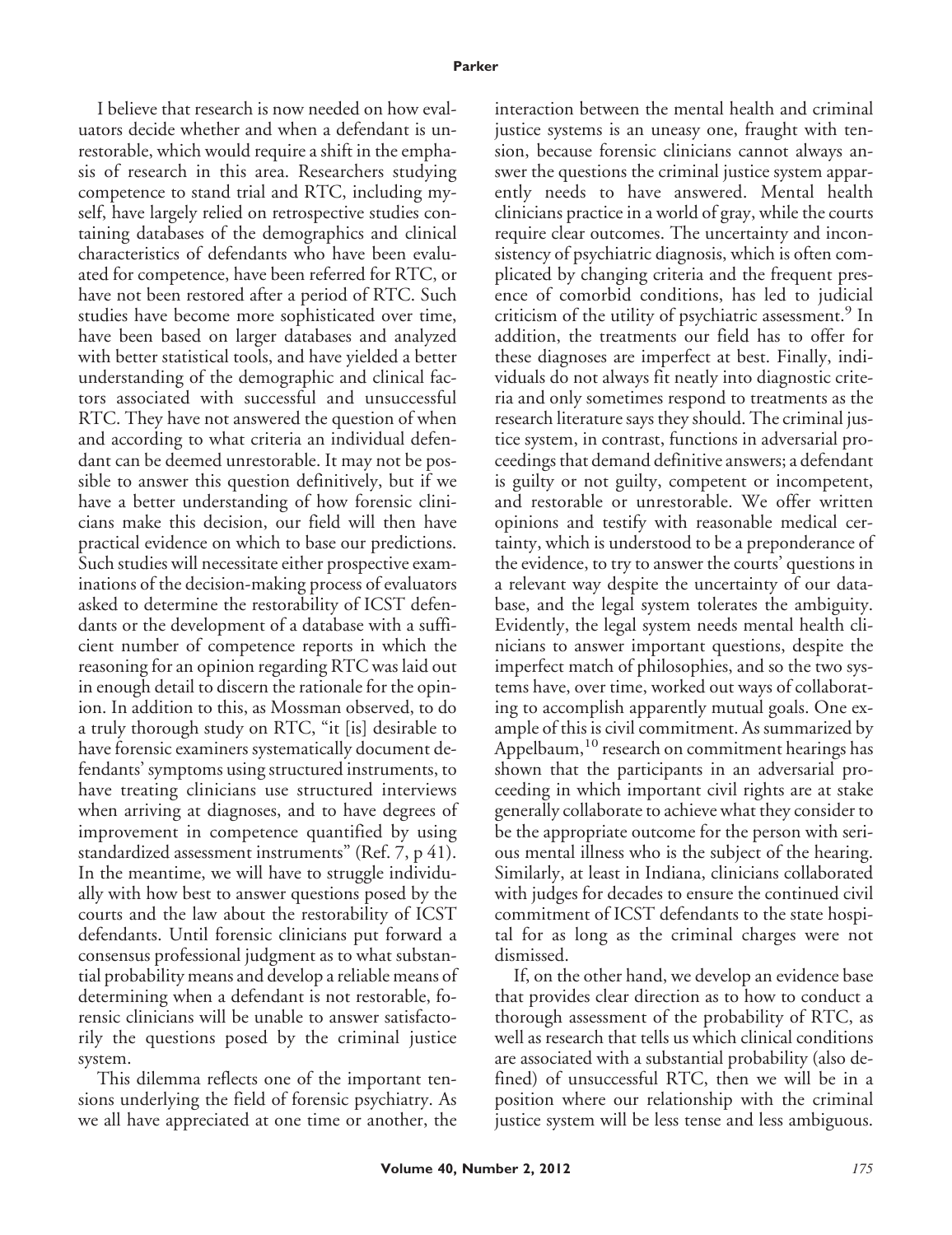I believe that research is now needed on how evaluators decide whether and when a defendant is unrestorable, which would require a shift in the emphasis of research in this area. Researchers studying competence to stand trial and RTC, including myself, have largely relied on retrospective studies containing databases of the demographics and clinical characteristics of defendants who have been evaluated for competence, have been referred for RTC, or have not been restored after a period of RTC. Such studies have become more sophisticated over time, have been based on larger databases and analyzed with better statistical tools, and have yielded a better understanding of the demographic and clinical factors associated with successful and unsuccessful RTC. They have not answered the question of when and according to what criteria an individual defendant can be deemed unrestorable. It may not be possible to answer this question definitively, but if we have a better understanding of how forensic clinicians make this decision, our field will then have practical evidence on which to base our predictions. Such studies will necessitate either prospective examinations of the decision-making process of evaluators asked to determine the restorability of ICST defendants or the development of a database with a sufficient number of competence reports in which the reasoning for an opinion regarding RTC was laid out in enough detail to discern the rationale for the opinion. In addition to this, as Mossman observed, to do a truly thorough study on RTC, "it [is] desirable to have forensic examiners systematically document defendants' symptoms using structured instruments, to have treating clinicians use structured interviews when arriving at diagnoses, and to have degrees of improvement in competence quantified by using standardized assessment instruments" (Ref. 7, p 41). In the meantime, we will have to struggle individually with how best to answer questions posed by the courts and the law about the restorability of ICST defendants. Until forensic clinicians put forward a consensus professional judgment as to what substantial probability means and develop a reliable means of determining when a defendant is not restorable, forensic clinicians will be unable to answer satisfactorily the questions posed by the criminal justice system.

This dilemma reflects one of the important tensions underlying the field of forensic psychiatry. As we all have appreciated at one time or another, the

interaction between the mental health and criminal justice systems is an uneasy one, fraught with tension, because forensic clinicians cannot always answer the questions the criminal justice system apparently needs to have answered. Mental health clinicians practice in a world of gray, while the courts require clear outcomes. The uncertainty and inconsistency of psychiatric diagnosis, which is often complicated by changing criteria and the frequent presence of comorbid conditions, has led to judicial criticism of the utility of psychiatric assessment.<sup>9</sup> In addition, the treatments our field has to offer for these diagnoses are imperfect at best. Finally, individuals do not always fit neatly into diagnostic criteria and only sometimes respond to treatments as the research literature says they should. The criminal justice system, in contrast, functions in adversarial proceedings that demand definitive answers; a defendant is guilty or not guilty, competent or incompetent, and restorable or unrestorable. We offer written opinions and testify with reasonable medical certainty, which is understood to be a preponderance of the evidence, to try to answer the courts' questions in a relevant way despite the uncertainty of our database, and the legal system tolerates the ambiguity. Evidently, the legal system needs mental health clinicians to answer important questions, despite the imperfect match of philosophies, and so the two systems have, over time, worked out ways of collaborating to accomplish apparently mutual goals. One example of this is civil commitment. As summarized by Appelbaum,<sup>10</sup> research on commitment hearings has shown that the participants in an adversarial proceeding in which important civil rights are at stake generally collaborate to achieve what they consider to be the appropriate outcome for the person with serious mental illness who is the subject of the hearing. Similarly, at least in Indiana, clinicians collaborated with judges for decades to ensure the continued civil commitment of ICST defendants to the state hospital for as long as the criminal charges were not dismissed.

If, on the other hand, we develop an evidence base that provides clear direction as to how to conduct a thorough assessment of the probability of RTC, as well as research that tells us which clinical conditions are associated with a substantial probability (also defined) of unsuccessful RTC, then we will be in a position where our relationship with the criminal justice system will be less tense and less ambiguous.